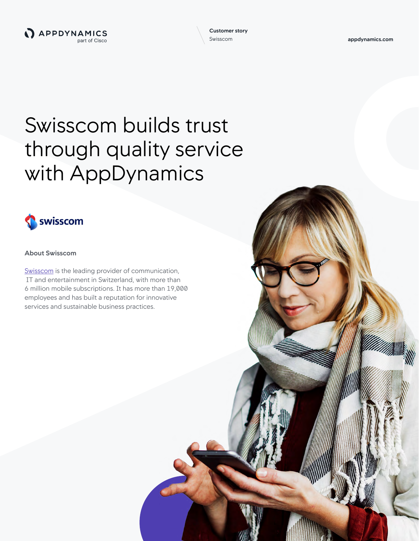**appdynamics.com**

# Swisscom builds trust through quality service with AppDynamics



## **About Swisscom**

[Swisscom](https://www.swisscom.ch/en/residential.html) is the leading provider of communication, IT and entertainment in Switzerland, with more than 6 million mobile subscriptions. It has more than 19,000 employees and has built a reputation for innovative services and sustainable business practices.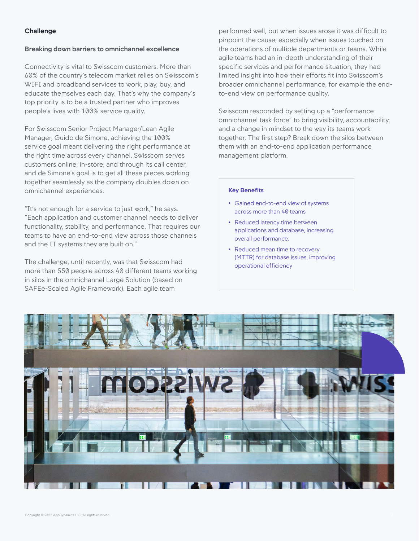## **Challenge**

#### **Breaking down barriers to omnichannel excellence**

Connectivity is vital to Swisscom customers. More than 60% of the country's telecom market relies on Swisscom's WIFI and broadband services to work, play, buy, and educate themselves each day. That's why the company's top priority is to be a trusted partner who improves people's lives with 100% service quality.

For Swisscom Senior Project Manager/Lean Agile Manager, Guido de Simone, achieving the 100% service goal meant delivering the right performance at the right time across every channel. Swisscom serves customers online, in-store, and through its call center, and de Simone's goal is to get all these pieces working together seamlessly as the company doubles down on omnichannel experiences.

"It's not enough for a service to just work," he says. "Each application and customer channel needs to deliver functionality, stability, and performance. That requires our teams to have an end-to-end view across those channels and the IT systems they are built on."

The challenge, until recently, was that Swisscom had more than 550 people across 40 different teams working in silos in the omnichannel Large Solution (based on SAFEe-Scaled Agile Framework). Each agile team

performed well, but when issues arose it was difficult to pinpoint the cause, especially when issues touched on the operations of multiple departments or teams. While agile teams had an in-depth understanding of their specific services and performance situation, they had limited insight into how their efforts fit into Swisscom's broader omnichannel performance, for example the endto-end view on performance quality.

Swisscom responded by setting up a "performance omnichannel task force" to bring visibility, accountability, and a change in mindset to the way its teams work together. The first step? Break down the silos between them with an end-to-end application performance management platform.

#### **Key Benefits**

- Gained end-to-end view of systems across more than 40 teams
- Reduced latency time between applications and database, increasing overall performance.
- Reduced mean time to recovery (MTTR) for database issues, improving operational efficiency

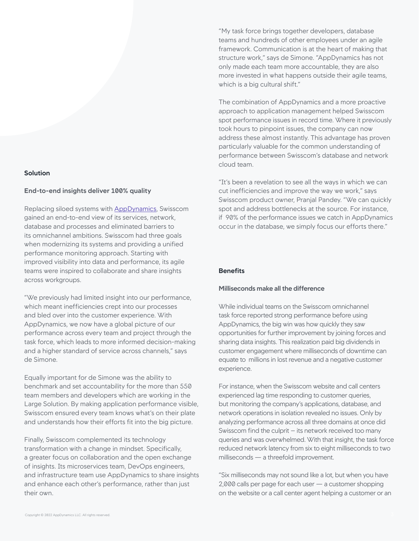# **Solution**

#### **End-to-end insights deliver 100% quality**

Replacing siloed systems with [AppDynamics,](https://www.appdynamics.com/) Swisscom gained an end-to-end view of its services, network, database and processes and eliminated barriers to its omnichannel ambitions. Swisscom had three goals when modernizing its systems and providing a unified performance monitoring approach. Starting with improved visibility into data and performance, its agile teams were inspired to collaborate and share insights across workgroups.

"We previously had limited insight into our performance, which meant inefficiencies crept into our processes and bled over into the customer experience. With AppDynamics, we now have a global picture of our performance across every team and project through the task force, which leads to more informed decision-making and a higher standard of service across channels," says de Simone.

Equally important for de Simone was the ability to benchmark and set accountability for the more than 550 team members and developers which are working in the Large Solution. By making application performance visible, Swisscom ensured every team knows what's on their plate and understands how their efforts fit into the big picture.

Finally, Swisscom complemented its technology transformation with a change in mindset. Specifically, a greater focus on collaboration and the open exchange of insights. Its microservices team, DevOps engineers, and infrastructure team use AppDynamics to share insights and enhance each other's performance, rather than just their own.

"My task force brings together developers, database teams and hundreds of other employees under an agile framework. Communication is at the heart of making that structure work," says de Simone. "AppDynamics has not only made each team more accountable, they are also more invested in what happens outside their agile teams, which is a big cultural shift."

The combination of AppDynamics and a more proactive approach to application management helped Swisscom spot performance issues in record time. Where it previously took hours to pinpoint issues, the company can now address these almost instantly. This advantage has proven particularly valuable for the common understanding of performance between Swisscom's database and network cloud team.

"It's been a revelation to see all the ways in which we can cut inefficiencies and improve the way we work," says Swisscom product owner, Pranjal Pandey. "We can quickly spot and address bottlenecks at the source. For instance, if 90% of the performance issues we catch in AppDynamics occur in the database, we simply focus our efforts there."

## **Benefits**

#### **Milliseconds make all the difference**

While individual teams on the Swisscom omnichannel task force reported strong performance before using AppDynamics, the big win was how quickly they saw opportunities for further improvement by joining forces and sharing data insights. This realization paid big dividends in customer engagement where milliseconds of downtime can equate to millions in lost revenue and a negative customer experience.

For instance, when the Swisscom website and call centers experienced lag time responding to customer queries, but monitoring the company's applications, database, and network operations in isolation revealed no issues. Only by analyzing performance across all three domains at once did Swisscom find the culprit – its network received too many queries and was overwhelmed. With that insight, the task force reduced network latency from six to eight milliseconds to two milliseconds — a threefold improvement.

"Six milliseconds may not sound like a lot, but when you have 2,000 calls per page for each user — a customer shopping on the website or a call center agent helping a customer or an